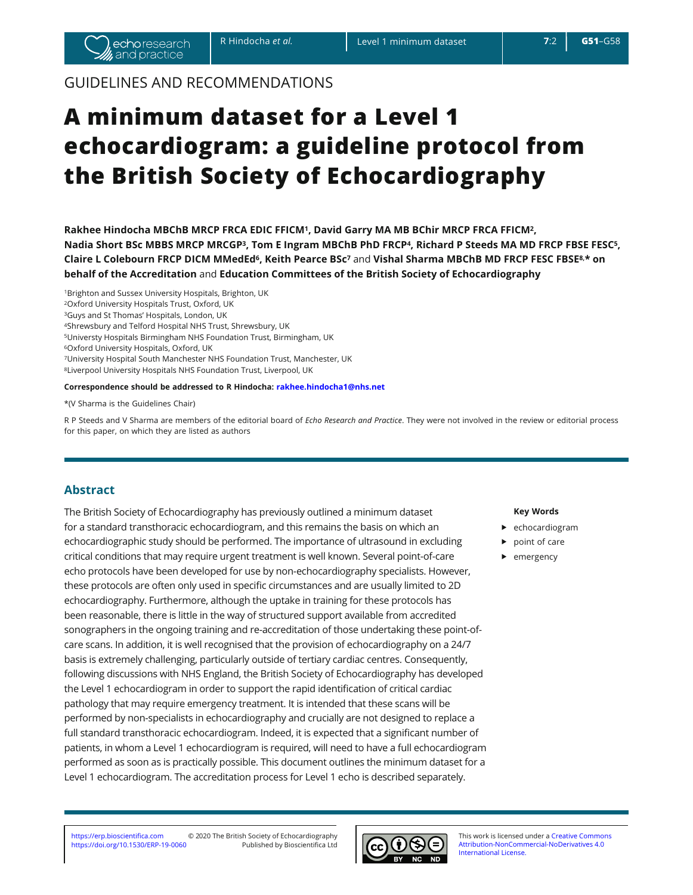# GUIDELINES AND RECOMMENDATIONS

# **A minimum dataset for a Level 1 echocardiogram: a guideline protocol from the British Society of Echocardiography**

**Bakhee Hindocha MBChB MRCP FRCA EDIC FFICM<sup>1</sup>, David Garry MA MB BChir MRCP FRCA FFICM<sup>2</sup>, Nadia Short BSc MBBS MRCP MRCGP3, Tom E Ingram MBChB PhD FRCP4, Richard P Steeds MA MD FRCP FBSE FESC<sup>5</sup>,**  $C$ laire L Colebourn FRCP DICM MMedEd<sup>6</sup>, Keith Pearce BSc<sup>7</sup> and Vishal Sharma MBChB MD FRCP FESC FBSE<sup>8,\*</sup> on **behalf of the Accreditation** and **Education Committees of the British Society of Echocardiography** 

1Brighton and Sussex University Hospitals, Brighton, UK 2Oxford University Hospitals Trust, Oxford, UK 3Guys and St Thomas' Hospitals, London, UK 4Shrewsbury and Telford Hospital NHS Trust, Shrewsbury, UK 5Universty Hospitals Birmingham NHS Foundation Trust, Birmingham, UK 6Oxford University Hospitals, Oxford, UK 7University Hospital South Manchester NHS Foundation Trust, Manchester, UK 8Liverpool University Hospitals NHS Foundation Trust, Liverpool, UK

### Correspondence should be addressed to R Hindocha: rakhee.hindocha1@nhs.net

\*(V Sharma is the Guidelines Chair)

R P Steeds and V Sharma are members of the editorial board of *Echo Research and Practice*. They were not involved in the review or editorial process for this paper, on which they are listed as authors

# **Abstract**

The British Society of Echocardiography has previously outlined a minimum dataset for a standard transthoracic echocardiogram, and this remains the basis on which an echocardiographic study should be performed. The importance of ultrasound in excluding critical conditions that may require urgent treatment is well known. Several point-of-care echo protocols have been developed for use by non-echocardiography specialists. However, these protocols are often only used in specific circumstances and are usually limited to 2D echocardiography. Furthermore, although the uptake in training for these protocols has been reasonable, there is little in the way of structured support available from accredited sonographers in the ongoing training and re-accreditation of those undertaking these point-ofcare scans. In addition, it is well recognised that the provision of echocardiography on a 24/7 basis is extremely challenging, particularly outside of tertiary cardiac centres. Consequently, following discussions with NHS England, the British Society of Echocardiography has developed the Level 1 echocardiogram in order to support the rapid identification of critical cardiac pathology that may require emergency treatment. It is intended that these scans will be performed by non-specialists in echocardiography and crucially are not designed to replace a full standard transthoracic echocardiogram. Indeed, it is expected that a significant number of patients, in whom a Level 1 echocardiogram is required, will need to have a full echocardiogram performed as soon as is practically possible. This document outlines the minimum dataset for a Level 1 echocardiogram. The accreditation process for Level 1 echo is described separately.

### **Key Words**

- $\blacktriangleright$  echocardiogram
- $\blacktriangleright$  point of care
- $\blacktriangleright$  emergency



Attribution-NonCommercial-NoDerivatives 4.0 International License.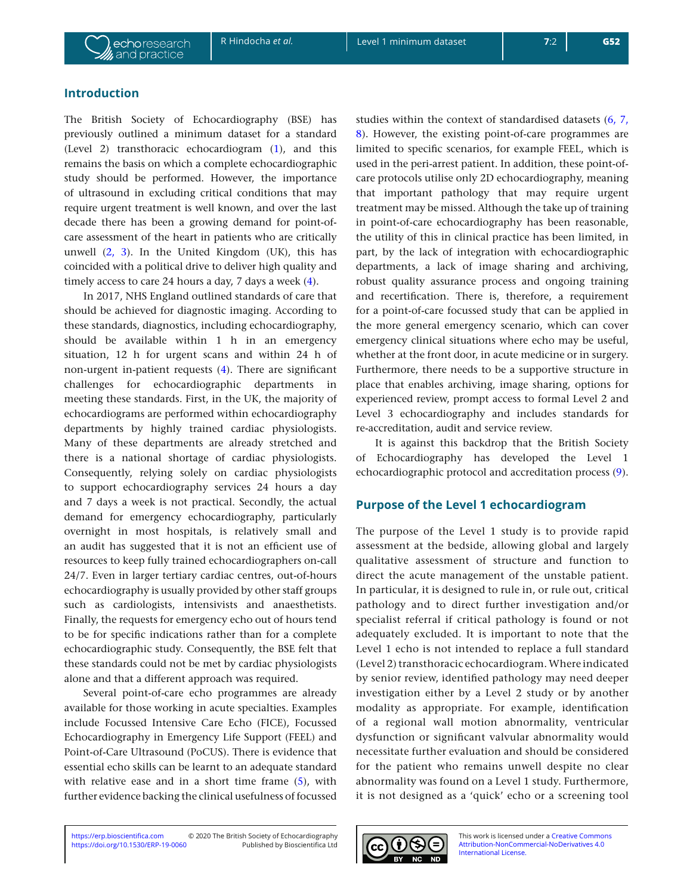# **Introduction**

The British Society of Echocardiography (BSE) has previously outlined a minimum dataset for a standard (Level 2) transthoracic echocardiogram (1), and this remains the basis on which a complete echocardiographic study should be performed. However, the importance of ultrasound in excluding critical conditions that may require urgent treatment is well known, and over the last decade there has been a growing demand for point-ofcare assessment of the heart in patients who are critically unwell  $(2, 3)$ . In the United Kingdom (UK), this has coincided with a political drive to deliver high quality and timely access to care 24 hours a day, 7 days a week (4).

In 2017, NHS England outlined standards of care that should be achieved for diagnostic imaging. According to these standards, diagnostics, including echocardiography, should be available within 1 h in an emergency situation, 12 h for urgent scans and within 24 h of non-urgent in-patient requests (4). There are significant challenges for echocardiographic departments in meeting these standards. First, in the UK, the majority of echocardiograms are performed within echocardiography departments by highly trained cardiac physiologists. Many of these departments are already stretched and there is a national shortage of cardiac physiologists. Consequently, relying solely on cardiac physiologists to support echocardiography services 24 hours a day and 7 days a week is not practical. Secondly, the actual demand for emergency echocardiography, particularly overnight in most hospitals, is relatively small and an audit has suggested that it is not an efficient use of resources to keep fully trained echocardiographers on-call 24/7. Even in larger tertiary cardiac centres, out-of-hours echocardiography is usually provided by other staff groups such as cardiologists, intensivists and anaesthetists. Finally, the requests for emergency echo out of hours tend to be for specific indications rather than for a complete echocardiographic study. Consequently, the BSE felt that these standards could not be met by cardiac physiologists alone and that a different approach was required.

Several point-of-care echo programmes are already available for those working in acute specialties. Examples include Focussed Intensive Care Echo (FICE), Focussed Echocardiography in Emergency Life Support (FEEL) and Point-of-Care Ultrasound (PoCUS). There is evidence that essential echo skills can be learnt to an adequate standard with relative ease and in a short time frame  $(5)$ , with further evidence backing the clinical usefulness of focussed

studies within the context of standardised datasets (6, 7, 8). However, the existing point-of-care programmes are limited to specific scenarios, for example FEEL, which is used in the peri-arrest patient. In addition, these point-ofcare protocols utilise only 2D echocardiography, meaning that important pathology that may require urgent treatment may be missed. Although the take up of training in point-of-care echocardiography has been reasonable, the utility of this in clinical practice has been limited, in part, by the lack of integration with echocardiographic departments, a lack of image sharing and archiving, robust quality assurance process and ongoing training and recertification. There is, therefore, a requirement for a point-of-care focussed study that can be applied in the more general emergency scenario, which can cover emergency clinical situations where echo may be useful, whether at the front door, in acute medicine or in surgery. Furthermore, there needs to be a supportive structure in place that enables archiving, image sharing, options for experienced review, prompt access to formal Level 2 and Level 3 echocardiography and includes standards for re-accreditation, audit and service review.

It is against this backdrop that the British Society of Echocardiography has developed the Level 1 echocardiographic protocol and accreditation process (9).

# **Purpose of the Level 1 echocardiogram**

The purpose of the Level 1 study is to provide rapid assessment at the bedside, allowing global and largely qualitative assessment of structure and function to direct the acute management of the unstable patient. In particular, it is designed to rule in, or rule out, critical pathology and to direct further investigation and/or specialist referral if critical pathology is found or not adequately excluded. It is important to note that the Level 1 echo is not intended to replace a full standard (Level 2) transthoracic echocardiogram. Where indicated by senior review, identified pathology may need deeper investigation either by a Level 2 study or by another modality as appropriate. For example, identification of a regional wall motion abnormality, ventricular dysfunction or significant valvular abnormality would necessitate further evaluation and should be considered for the patient who remains unwell despite no clear abnormality was found on a Level 1 study. Furthermore, it is not designed as a 'quick' echo or a screening tool

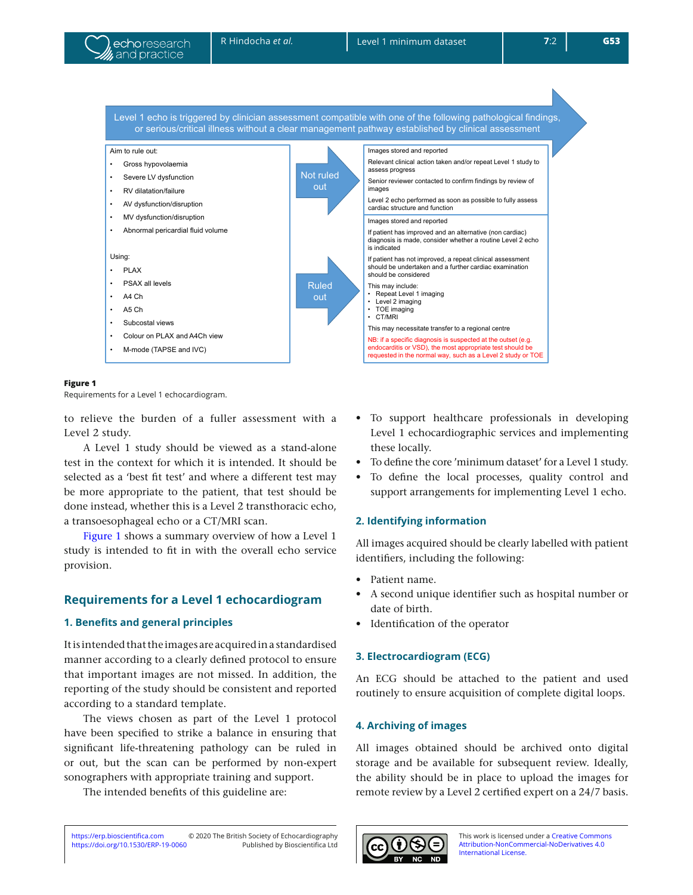



### **Figure 1**

Requirements for a Level 1 echocardiogram.

to relieve the burden of a fuller assessment with a Level 2 study.

A Level 1 study should be viewed as a stand-alone test in the context for which it is intended. It should be selected as a 'best fit test' and where a different test may be more appropriate to the patient, that test should be done instead, whether this is a Level 2 transthoracic echo, a transoesophageal echo or a CT/MRI scan.

Figure 1 shows a summary overview of how a Level 1 study is intended to fit in with the overall echo service provision.

# **Requirements for a Level 1 echocardiogram**

### **1. Benefits and general principles**

It is intended that the images are acquired in a standardised manner according to a clearly defined protocol to ensure that important images are not missed. In addition, the reporting of the study should be consistent and reported according to a standard template.

The views chosen as part of the Level 1 protocol have been specified to strike a balance in ensuring that significant life-threatening pathology can be ruled in or out, but the scan can be performed by non-expert sonographers with appropriate training and support.

The intended benefits of this guideline are:

- To support healthcare professionals in developing Level 1 echocardiographic services and implementing these locally.
- To define the core 'minimum dataset' for a Level 1 study.
- To define the local processes, quality control and support arrangements for implementing Level 1 echo.

### **2. Identifying information**

All images acquired should be clearly labelled with patient identifiers, including the following:

- Patient name.
- A second unique identifier such as hospital number or date of birth.
- Identification of the operator

### **3. Electrocardiogram (ECG)**

An ECG should be attached to the patient and used routinely to ensure acquisition of complete digital loops.

### **4. Archiving of images**

All images obtained should be archived onto digital storage and be available for subsequent review. Ideally, the ability should be in place to upload the images for remote review by a Level 2 certified expert on a 24/7 basis.

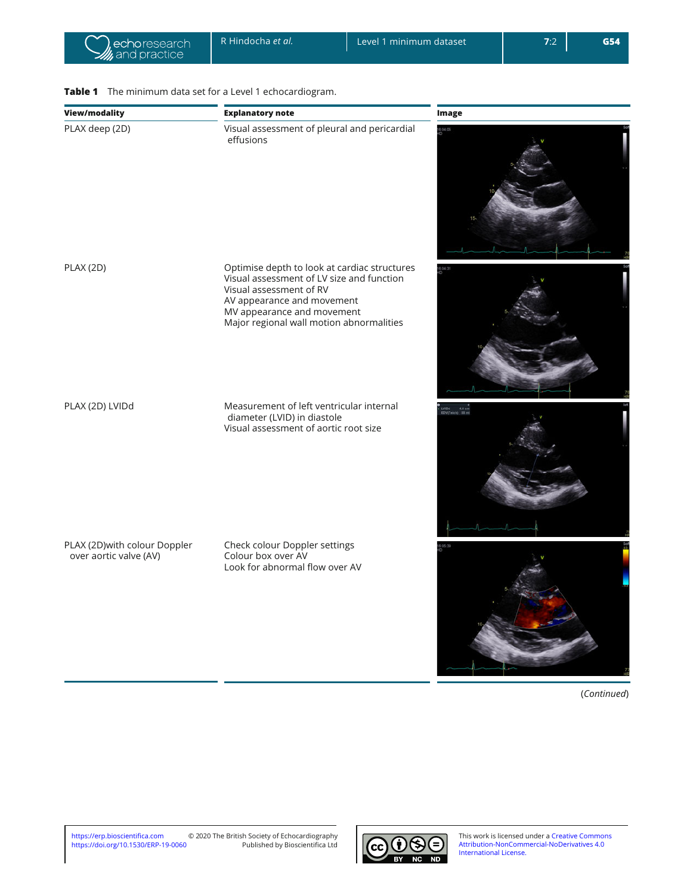# **View/modality Explanatory note Image** PLAX deep (2D) Visual assessment of pleural and pericardial effusions PLAX (2D) Optimise depth to look at cardiac structures Visual assessment of LV size and function Visual assessment of RV AV appearance and movement MV appearance and movement Major regional wall motion abnormalities PLAX (2D) LVIDd Measurement of left ventricular internal LVIDd 4.4 cm<br>EDVITeich) 88 ml diameter (LVID) in diastole Visual assessment of aortic root size PLAX (2D)with colour Doppler Check colour Doppler settings Colour box over AV over aortic valve (AV) Look for abnormal flow over AV

# **Table 1** The minimum data set for a Level 1 echocardiogram.

(*Continued*)

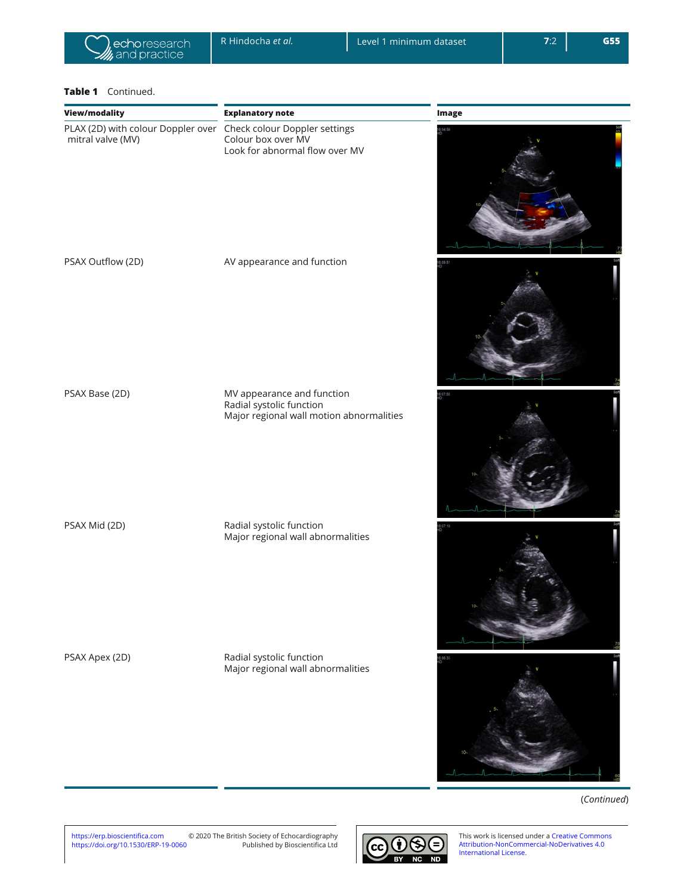

## Table 1 Continued.

| <b>View/modality</b>                                                                                     | <b>Explanatory note</b>                                                                            | <b>Image</b> |
|----------------------------------------------------------------------------------------------------------|----------------------------------------------------------------------------------------------------|--------------|
| PLAX (2D) with colour Doppler over Check colour Doppler settings<br>mitral valve (MV) Colour box over MV | Look for abnormal flow over MV                                                                     | 104:56       |
| PSAX Outflow (2D)                                                                                        | AV appearance and function                                                                         |              |
| PSAX Base (2D)                                                                                           | MV appearance and function<br>Radial systolic function<br>Major regional wall motion abnormalities |              |
| PSAX Mid (2D)                                                                                            | Radial systolic function<br>Major regional wall abnormalities                                      |              |
| PSAX Apex (2D)                                                                                           | Radial systolic function<br>Major regional wall abnormalities                                      |              |

(*Continued*)

 $\rightarrow$ 

https://erp.bioscientifica.com<br>https://doi.org/10.1530/ERP-19-0060 https://erp.bioscientifica.com © 2020 The British Society of Echocardiography<br>https://doi.org/10.1530/ERP-19-0060 Published by Bioscientifica Ltd

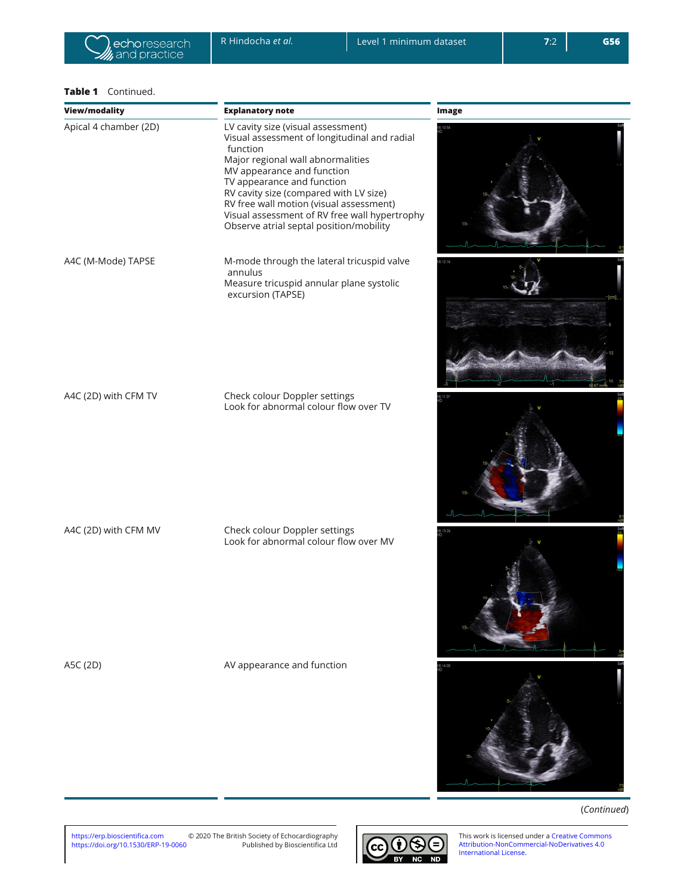## Table 1 Continued.

| View/modality         | <b>Explanatory note</b>                                                                                                                                                                                                                                                                                                                                                          | <b>Image</b> |
|-----------------------|----------------------------------------------------------------------------------------------------------------------------------------------------------------------------------------------------------------------------------------------------------------------------------------------------------------------------------------------------------------------------------|--------------|
| Apical 4 chamber (2D) | LV cavity size (visual assessment)<br>Visual assessment of longitudinal and radial<br>function<br>Major regional wall abnormalities<br>MV appearance and function<br>TV appearance and function<br>RV cavity size (compared with LV size)<br>RV free wall motion (visual assessment)<br>Visual assessment of RV free wall hypertrophy<br>Observe atrial septal position/mobility | 10:54        |
| A4C (M-Mode) TAPSE    | M-mode through the lateral tricuspid valve<br>annulus<br>Measure tricuspid annular plane systolic<br>excursion (TAPSE)                                                                                                                                                                                                                                                           |              |
| A4C (2D) with CFM TV  | Check colour Doppler settings<br>Look for abnormal colour flow over TV                                                                                                                                                                                                                                                                                                           |              |
| A4C (2D) with CFM MV  | Check colour Doppler settings<br>Look for abnormal colour flow over MV                                                                                                                                                                                                                                                                                                           |              |
| A5C (2D)              | AV appearance and function                                                                                                                                                                                                                                                                                                                                                       | 14:08        |

(*Continued*)

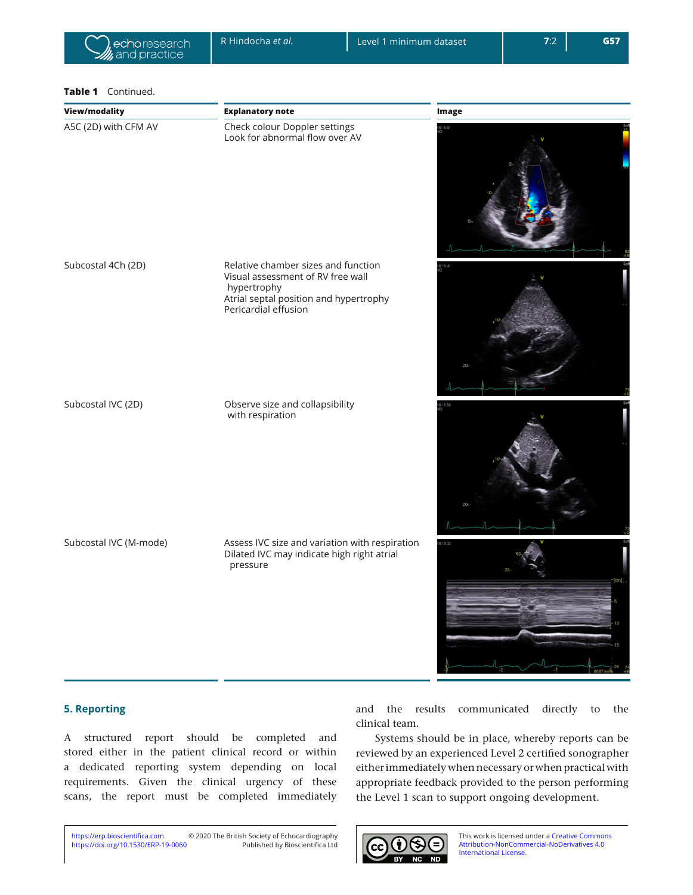### **Table 1** Continued.

| <b>View/modality</b>   | <b>Explanatory note</b>                                                                                                                                   | <b>Image</b> |
|------------------------|-----------------------------------------------------------------------------------------------------------------------------------------------------------|--------------|
| A5C (2D) with CFM AV   | Check colour Doppler settings<br>Look for abnormal flow over AV                                                                                           |              |
| Subcostal 4Ch (2D)     | Relative chamber sizes and function<br>Visual assessment of RV free wall<br>hypertrophy<br>Atrial septal position and hypertrophy<br>Pericardial effusion | 15/41        |
| Subcostal IVC (2D)     | Observe size and collapsibility<br>with respiration                                                                                                       |              |
| Subcostal IVC (M-mode) | Assess IVC size and variation with respiration<br>Dilated IVC may indicate high right atrial<br>pressure                                                  | (16.32)      |

# **5. Reporting**

A structured report should be completed and stored either in the patient clinical record or within a dedicated reporting system depending on local requirements. Given the clinical urgency of these scans, the report must be completed immediately

and the results communicated directly to the clinical team.

Systems should be in place, whereby reports can be reviewed by an experienced Level 2 certified sonographer either immediately when necessary or when practical with appropriate feedback provided to the person performing the Level 1 scan to support ongoing development.

https://doi.org/10.1530/ERP-19-0060 KWWSVHUSELRVFLHQWLȴFDFRP © 2020 The British Society of Echocardiography Published by Bioscientifica Ltd